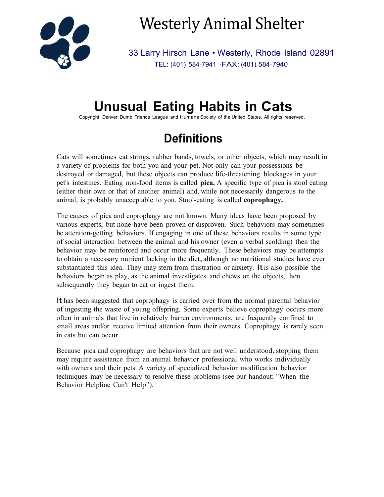

Westerly Animal Shelter

33 Larry Hirsch Lane • Westerly, Rhode Island 02891 TEL: (401) 584-7941 ·FAX: (401) 584-7940

# **Unusual Eating Habits in Cats**

Copyright Denver Dumb Friends League and Humane Society of the United States. All rights reserved.

## **Definitions**

Cats will sometimes eat strings, rubber bands, towels, or other objects, which may result in a variety of problems for both you and your pet. Not only can your possessions be destroyed or damaged, but these objects can produce life-threatening blockages in your pet's intestines. Eating non-food items is called **pica.** A specific type of pica is stool eating (either their own or that of another animal) and, while not necessarily dangerous to the animal, is probably unacceptable to you. Stool-eating is called **coprophagy.**

The causes of pica and coprophagy are not known. Many ideas have been proposed by various experts, but none have been proven or disproven. Such behaviors may sometimes be attention-getting behaviors. If engaging in one of these behaviors results in some type of social interaction between the animal and his owner (even a verbal scolding) then the behavior may be reinforced and occur more frequently. These behaviors may be attempts to obtain <sup>a</sup> necessary nutrient lacking in the diet,although no nutritional studies have ever substantiated this idea. They may stern from frustration or anxiety. Itis also possible the behaviors began as play, as the animal investigates and chews on the objects, then subsequently they began to eat or ingest them.

It has been suggested that coprophagy is carried over from the normal parental behavior of ingesting the waste of young offspring. Some experts believe coprophagy occurs more often in animals that live in relatively barren environments, are frequently confined to small areas and/or receive limited attention from their owners. Coprophagy is rarely seen in cats but can occur.

Because pica and coprophagy are behaviors that are not well understood, stopping them may require assistance from an animal behavior professional who works individually with owners and their pets. A variety of specialized behavior modification behavior techniques may be necessary to resolve these problems (see our handout: "When the Behavior Helpline Can't Help").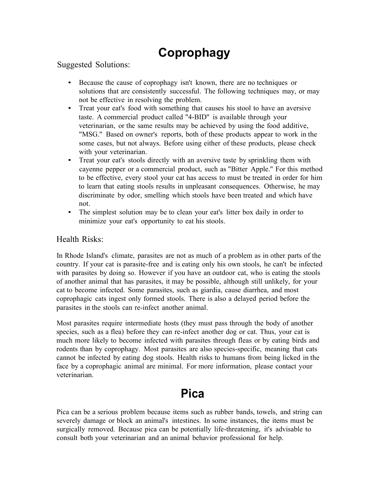## **Coprophagy**

Suggested Solutions:

- Because the cause of coprophagy isn't known, there are no techniques or solutions that are consistently successful. The following techniques may, or may not be effective in resolving the problem.
- Treat your eat's food with something that causes his stool to have an aversive taste. A commercial product called "4-BID" is available through your veterinarian, or the same results may be achieved by using the food additive, "MSG." Based on owner's reports, both of these products appear to work in the some cases, but not always. Before using either of these products, please check with your veterinarian.
- Treat your eat's stools directly with an aversive taste by sprinkling them with cayenne pepper or a commercial product, such as "Bitter Apple." For this method to be effective, every stool your cat has access to must be treated in order for him to learn that eating stools results in unpleasant consequences. Otherwise, he may discriminate by odor, smelling which stools have been treated and which have not.
- The simplest solution may be to clean your eat's litter box daily in order to minimize your eat's opportunity to eat his stools.

#### Health Risks:

In Rhode Island's climate, parasites are not as much of a problem as in other parts of the country. If your cat is parasite-free and is eating only his own stools, he can't be infected with parasites by doing so. However if you have an outdoor cat, who is eating the stools of another animal that has parasites, it may be possible, although still unlikely, for your cat to become infected. Some parasites, such as giardia, cause diarrhea, and most coprophagic cats ingest only formed stools. There is also a delayed period before the parasites in the stools can re-infect another animal.

Most parasites require intermediate hosts (they must pass through the body of another species, such as a flea) before they can re-infect another dog or cat. Thus, your cat is much more likely to become infected with parasites through fleas or by eating birds and rodents than by coprophagy. Most parasites are also species-specific, meaning that cats cannot be infected by eating dog stools. Health risks to humans from being licked in the face by a coprophagic animal are minimal. For more information, please contact your veterinarian.

### **Pica**

Pica can be a serious problem because items such as rubber bands, towels, and string can severely damage or block an animal's intestines. In some instances, the items must be surgically removed. Because pica can be potentially life-threatening, it's advisable to consult both your veterinarian and an animal behavior professional for help.